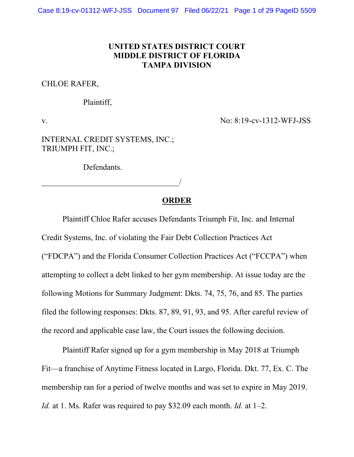### **UNITED STATES DISTRICT COURT MIDDLE DISTRICT OF FLORIDA TAMPA DIVISION**

### CHLOE RAFER,

#### Plaintiff,

v. No: 8:19-cv-1312-WFJ-JSS

INTERNAL CREDIT SYSTEMS, INC.; TRIUMPH FIT, INC.;

Defendants.

\_\_\_\_\_\_\_\_\_\_\_\_\_\_\_\_\_\_\_\_\_\_\_\_\_\_\_\_\_\_\_\_\_\_/

#### **ORDER**

Plaintiff Chloe Rafer accuses Defendants Triumph Fit, Inc. and Internal

Credit Systems, Inc. of violating the Fair Debt Collection Practices Act ("FDCPA") and the Florida Consumer Collection Practices Act ("FCCPA") when attempting to collect a debt linked to her gym membership. At issue today are the following Motions for Summary Judgment: Dkts. 74, 75, 76, and 85. The parties filed the following responses: Dkts. 87, 89, 91, 93, and 95. After careful review of the record and applicable case law, the Court issues the following decision.

Plaintiff Rafer signed up for a gym membership in May 2018 at Triumph Fit—a franchise of Anytime Fitness located in Largo, Florida. Dkt. 77, Ex. C. The membership ran for a period of twelve months and was set to expire in May 2019. *Id.* at 1. Ms. Rafer was required to pay \$32.09 each month. *Id.* at 1–2.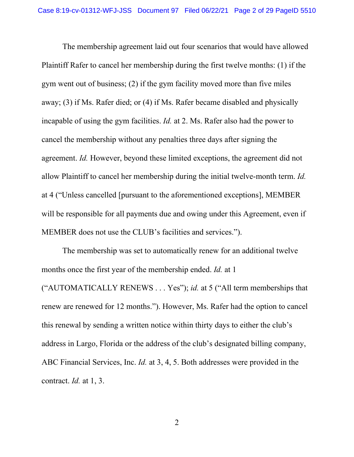The membership agreement laid out four scenarios that would have allowed Plaintiff Rafer to cancel her membership during the first twelve months: (1) if the gym went out of business; (2) if the gym facility moved more than five miles away; (3) if Ms. Rafer died; or (4) if Ms. Rafer became disabled and physically incapable of using the gym facilities. *Id.* at 2. Ms. Rafer also had the power to cancel the membership without any penalties three days after signing the agreement. *Id.* However, beyond these limited exceptions, the agreement did not allow Plaintiff to cancel her membership during the initial twelve-month term. *Id.*  at 4 ("Unless cancelled [pursuant to the aforementioned exceptions], MEMBER will be responsible for all payments due and owing under this Agreement, even if MEMBER does not use the CLUB's facilities and services.").

The membership was set to automatically renew for an additional twelve months once the first year of the membership ended. *Id.* at 1

("AUTOMATICALLY RENEWS . . . Yes"); *id.* at 5 ("All term memberships that renew are renewed for 12 months."). However, Ms. Rafer had the option to cancel this renewal by sending a written notice within thirty days to either the club's address in Largo, Florida or the address of the club's designated billing company, ABC Financial Services, Inc. *Id.* at 3, 4, 5. Both addresses were provided in the contract. *Id.* at 1, 3.

2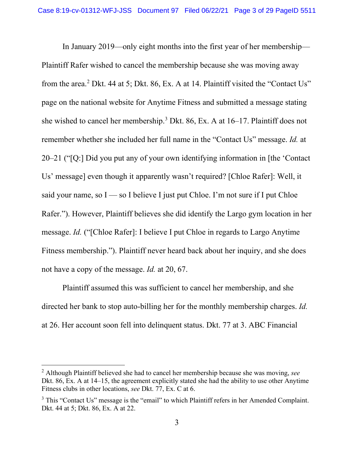In January 2019—only eight months into the first year of her membership— Plaintiff Rafer wished to cancel the membership because she was moving away from the area.<sup>[2](#page-2-0)</sup> Dkt. 44 at 5; Dkt. 86, Ex. A at 14. Plaintiff visited the "Contact Us" page on the national website for Anytime Fitness and submitted a message stating she wished to cancel her membership[.3](#page-2-1) Dkt. 86, Ex. A at 16–17. Plaintiff does not remember whether she included her full name in the "Contact Us" message. *Id.* at 20–21 ("[Q:] Did you put any of your own identifying information in [the 'Contact Us' message] even though it apparently wasn't required? [Chloe Rafer]: Well, it said your name, so  $I$  — so I believe I just put Chloe. I'm not sure if I put Chloe Rafer."). However, Plaintiff believes she did identify the Largo gym location in her message. *Id.* ("[Chloe Rafer]: I believe I put Chloe in regards to Largo Anytime Fitness membership."). Plaintiff never heard back about her inquiry, and she does not have a copy of the message. *Id.* at 20, 67.

Plaintiff assumed this was sufficient to cancel her membership, and she directed her bank to stop auto-billing her for the monthly membership charges. *Id.*  at 26. Her account soon fell into delinquent status. Dkt. 77 at 3. ABC Financial

<span id="page-2-0"></span><sup>2</sup> Although Plaintiff believed she had to cancel her membership because she was moving, *see*  Dkt. 86, Ex. A at 14–15, the agreement explicitly stated she had the ability to use other Anytime Fitness clubs in other locations, *see* Dkt. 77, Ex. C at 6.

<span id="page-2-1"></span><sup>&</sup>lt;sup>3</sup> This "Contact Us" message is the "email" to which Plaintiff refers in her Amended Complaint. Dkt. 44 at 5; Dkt. 86, Ex. A at 22.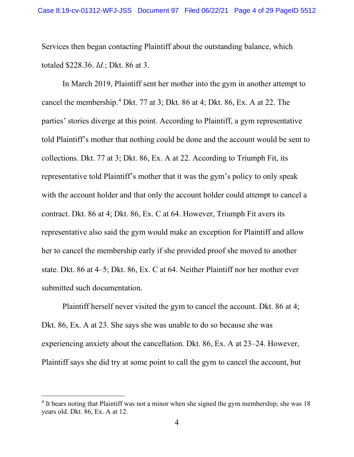Services then began contacting Plaintiff about the outstanding balance, which totaled \$228.36. *Id.*; Dkt. 86 at 3.

In March 2019, Plaintiff sent her mother into the gym in another attempt to cancel the membership.[4](#page-3-0) Dkt. 77 at 3; Dkt. 86 at 4; Dkt. 86, Ex. A at 22. The parties' stories diverge at this point. According to Plaintiff, a gym representative told Plaintiff's mother that nothing could be done and the account would be sent to collections. Dkt. 77 at 3; Dkt. 86, Ex. A at 22. According to Triumph Fit, its representative told Plaintiff's mother that it was the gym's policy to only speak with the account holder and that only the account holder could attempt to cancel a contract. Dkt. 86 at 4; Dkt. 86, Ex. C at 64. However, Triumph Fit avers its representative also said the gym would make an exception for Plaintiff and allow her to cancel the membership early if she provided proof she moved to another state. Dkt. 86 at 4–5; Dkt. 86, Ex. C at 64. Neither Plaintiff nor her mother ever submitted such documentation.

Plaintiff herself never visited the gym to cancel the account. Dkt. 86 at 4; Dkt. 86, Ex. A at 23. She says she was unable to do so because she was experiencing anxiety about the cancellation. Dkt. 86, Ex. A at 23–24. However, Plaintiff says she did try at some point to call the gym to cancel the account, but

<span id="page-3-0"></span><sup>&</sup>lt;sup>4</sup> It bears noting that Plaintiff was not a minor when she signed the gym membership; she was 18 years old. Dkt. 86, Ex. A at 12.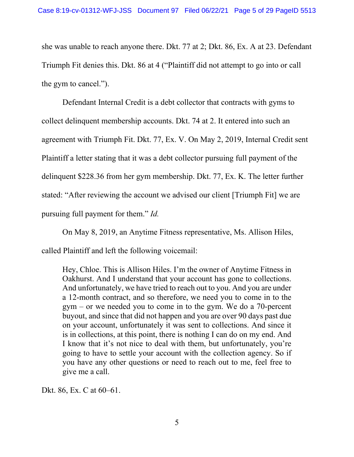she was unable to reach anyone there. Dkt. 77 at 2; Dkt. 86, Ex. A at 23. Defendant Triumph Fit denies this. Dkt. 86 at 4 ("Plaintiff did not attempt to go into or call the gym to cancel.").

Defendant Internal Credit is a debt collector that contracts with gyms to collect delinquent membership accounts. Dkt. 74 at 2. It entered into such an agreement with Triumph Fit. Dkt. 77, Ex. V. On May 2, 2019, Internal Credit sent Plaintiff a letter stating that it was a debt collector pursuing full payment of the delinquent \$228.36 from her gym membership. Dkt. 77, Ex. K. The letter further stated: "After reviewing the account we advised our client [Triumph Fit] we are pursuing full payment for them." *Id.* 

On May 8, 2019, an Anytime Fitness representative, Ms. Allison Hiles, called Plaintiff and left the following voicemail:

Hey, Chloe. This is Allison Hiles. I'm the owner of Anytime Fitness in Oakhurst. And I understand that your account has gone to collections. And unfortunately, we have tried to reach out to you. And you are under a 12-month contract, and so therefore, we need you to come in to the gym – or we needed you to come in to the gym. We do a 70-percent buyout, and since that did not happen and you are over 90 days past due on your account, unfortunately it was sent to collections. And since it is in collections, at this point, there is nothing I can do on my end. And I know that it's not nice to deal with them, but unfortunately, you're going to have to settle your account with the collection agency. So if you have any other questions or need to reach out to me, feel free to give me a call.

Dkt. 86, Ex. C at 60–61.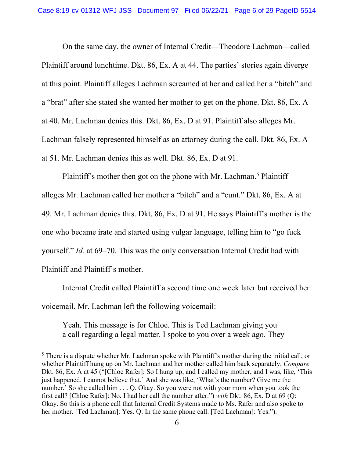On the same day, the owner of Internal Credit—Theodore Lachman—called Plaintiff around lunchtime. Dkt. 86, Ex. A at 44. The parties' stories again diverge at this point. Plaintiff alleges Lachman screamed at her and called her a "bitch" and a "brat" after she stated she wanted her mother to get on the phone. Dkt. 86, Ex. A at 40. Mr. Lachman denies this. Dkt. 86, Ex. D at 91. Plaintiff also alleges Mr. Lachman falsely represented himself as an attorney during the call. Dkt. 86, Ex. A at 51. Mr. Lachman denies this as well. Dkt. 86, Ex. D at 91.

Plaintiff's mother then got on the phone with Mr. Lachman.<sup>[5](#page-5-0)</sup> Plaintiff alleges Mr. Lachman called her mother a "bitch" and a "cunt." Dkt. 86, Ex. A at 49. Mr. Lachman denies this. Dkt. 86, Ex. D at 91. He says Plaintiff's mother is the one who became irate and started using vulgar language, telling him to "go fuck yourself." *Id.* at 69–70. This was the only conversation Internal Credit had with Plaintiff and Plaintiff's mother.

Internal Credit called Plaintiff a second time one week later but received her voicemail. Mr. Lachman left the following voicemail:

Yeah. This message is for Chloe. This is Ted Lachman giving you a call regarding a legal matter. I spoke to you over a week ago. They

<span id="page-5-0"></span> $<sup>5</sup>$  There is a dispute whether Mr. Lachman spoke with Plaintiff's mother during the initial call, or</sup> whether Plaintiff hung up on Mr. Lachman and her mother called him back separately. *Compare*  Dkt. 86, Ex. A at 45 ("[Chloe Rafer]: So I hung up, and I called my mother, and I was, like, 'This just happened. I cannot believe that.' And she was like, 'What's the number? Give me the number.' So she called him . . . O. Okay. So you were not with your mom when you took the first call? [Chloe Rafer]: No. I had her call the number after.") *with* Dkt. 86, Ex. D at 69 (Q: Okay. So this is a phone call that Internal Credit Systems made to Ms. Rafer and also spoke to her mother. [Ted Lachman]: Yes. Q: In the same phone call. [Ted Lachman]: Yes.").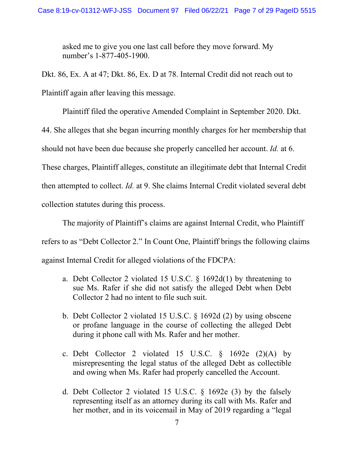asked me to give you one last call before they move forward. My number's 1-877-405-1900.

Dkt. 86, Ex. A at 47; Dkt. 86, Ex. D at 78. Internal Credit did not reach out to Plaintiff again after leaving this message.

Plaintiff filed the operative Amended Complaint in September 2020. Dkt. 44. She alleges that she began incurring monthly charges for her membership that should not have been due because she properly cancelled her account. *Id.* at 6. These charges, Plaintiff alleges, constitute an illegitimate debt that Internal Credit then attempted to collect. *Id.* at 9. She claims Internal Credit violated several debt collection statutes during this process.

The majority of Plaintiff's claims are against Internal Credit, who Plaintiff refers to as "Debt Collector 2." In Count One, Plaintiff brings the following claims against Internal Credit for alleged violations of the FDCPA:

- a. Debt Collector 2 violated 15 U.S.C. § 1692d(1) by threatening to sue Ms. Rafer if she did not satisfy the alleged Debt when Debt Collector 2 had no intent to file such suit.
- b. Debt Collector 2 violated 15 U.S.C. § 1692d (2) by using obscene or profane language in the course of collecting the alleged Debt during it phone call with Ms. Rafer and her mother.
- c. Debt Collector 2 violated 15 U.S.C.  $\frac{1}{9}$  1692e (2)(A) by misrepresenting the legal status of the alleged Debt as collectible and owing when Ms. Rafer had properly cancelled the Account.
- d. Debt Collector 2 violated 15 U.S.C. § 1692e (3) by the falsely representing itself as an attorney during its call with Ms. Rafer and her mother, and in its voicemail in May of 2019 regarding a "legal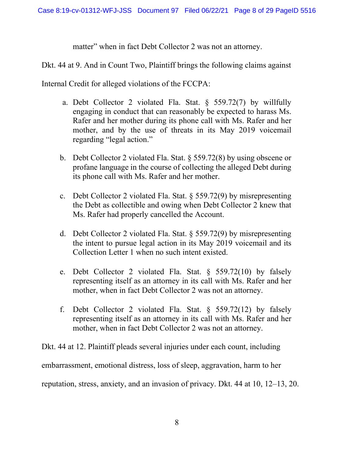matter" when in fact Debt Collector 2 was not an attorney.

Dkt. 44 at 9. And in Count Two, Plaintiff brings the following claims against

Internal Credit for alleged violations of the FCCPA:

- a. Debt Collector 2 violated Fla. Stat. § 559.72(7) by willfully engaging in conduct that can reasonably be expected to harass Ms. Rafer and her mother during its phone call with Ms. Rafer and her mother, and by the use of threats in its May 2019 voicemail regarding "legal action."
- b. Debt Collector 2 violated Fla. Stat. § 559.72(8) by using obscene or profane language in the course of collecting the alleged Debt during its phone call with Ms. Rafer and her mother.
- c. Debt Collector 2 violated Fla. Stat. § 559.72(9) by misrepresenting the Debt as collectible and owing when Debt Collector 2 knew that Ms. Rafer had properly cancelled the Account.
- d. Debt Collector 2 violated Fla. Stat. § 559.72(9) by misrepresenting the intent to pursue legal action in its May 2019 voicemail and its Collection Letter 1 when no such intent existed.
- e. Debt Collector 2 violated Fla. Stat. § 559.72(10) by falsely representing itself as an attorney in its call with Ms. Rafer and her mother, when in fact Debt Collector 2 was not an attorney.
- f. Debt Collector 2 violated Fla. Stat. § 559.72(12) by falsely representing itself as an attorney in its call with Ms. Rafer and her mother, when in fact Debt Collector 2 was not an attorney.

Dkt. 44 at 12. Plaintiff pleads several injuries under each count, including embarrassment, emotional distress, loss of sleep, aggravation, harm to her reputation, stress, anxiety, and an invasion of privacy. Dkt. 44 at 10, 12–13, 20.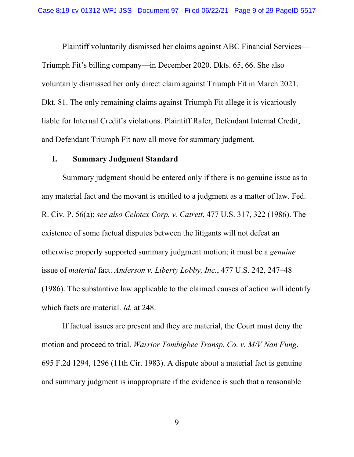Plaintiff voluntarily dismissed her claims against ABC Financial Services— Triumph Fit's billing company—in December 2020. Dkts. 65, 66. She also voluntarily dismissed her only direct claim against Triumph Fit in March 2021. Dkt. 81. The only remaining claims against Triumph Fit allege it is vicariously liable for Internal Credit's violations. Plaintiff Rafer, Defendant Internal Credit, and Defendant Triumph Fit now all move for summary judgment.

### **[I.](#page-9-0) Summary Judgment Standard**

Summary judgment should be entered only if there is no genuine issue as to any material fact and the movant is entitled to a judgment as a matter of law. Fed. R. Civ. P. 56(a); *see also Celotex Corp. v. Catrett*, 477 U.S. 317, 322 (1986). The existence of some factual disputes between the litigants will not defeat an otherwise properly supported summary judgment motion; it must be a *genuine*  issue of *material* fact. *Anderson v. Liberty Lobby, Inc.*, 477 U.S. 242, 247–48 (1986). The substantive law applicable to the claimed causes of action will identify which facts are material. *Id.* at 248.

If factual issues are present and they are material, the Court must deny the motion and proceed to trial. *Warrior Tombigbee Transp. Co. v. M/V Nan Fung*, 695 F.2d 1294, 1296 (11th Cir. 1983). A dispute about a material fact is genuine and summary judgment is inappropriate if the evidence is such that a reasonable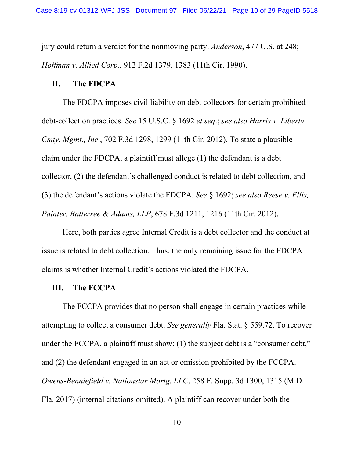jury could return a verdict for the nonmoving party. *Anderson*, 477 U.S. at 248; *Hoffman v. Allied Corp.*, 912 F.2d 1379, 1383 (11th Cir. 1990).

### **II. The FDCPA**

The FDCPA imposes civil liability on debt collectors for certain prohibited debt-collection practices. *See* 15 U.S.C. § 1692 *et seq*.; *see also Harris v. Liberty Cmty. Mgmt., Inc*., 702 F.3d 1298, 1299 (11th Cir. 2012). To state a plausible claim under the FDCPA, a plaintiff must allege (1) the defendant is a debt collector, (2) the defendant's challenged conduct is related to debt collection, and (3) the defendant's actions violate the FDCPA. *See* § 1692; *see also Reese v. Ellis, Painter, Ratterree & Adams, LLP*, 678 F.3d 1211, 1216 (11th Cir. 2012).

Here, both parties agree Internal Credit is a debt collector and the conduct at issue is related to debt collection. Thus, the only remaining issue for the FDCPA claims is whether Internal Credit's actions violated the FDCPA.

#### **III. The FCCPA**

<span id="page-9-0"></span>The FCCPA provides that no person shall engage in certain practices while attempting to collect a consumer debt. *See generally* Fla. Stat. § 559.72. To recover under the FCCPA, a plaintiff must show: (1) the subject debt is a "consumer debt," and (2) the defendant engaged in an act or omission prohibited by the FCCPA. *Owens-Benniefield v. Nationstar Mortg. LLC*, 258 F. Supp. 3d 1300, 1315 (M.D. Fla. 2017) (internal citations omitted). A plaintiff can recover under both the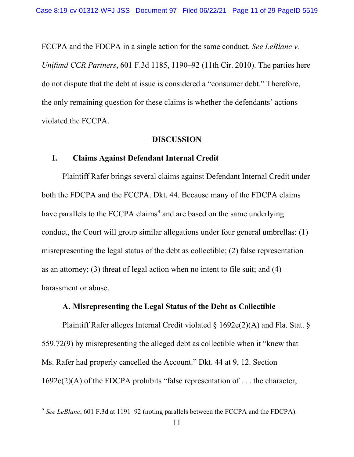FCCPA and the FDCPA in a single action for the same conduct. *See LeBlanc v. Unifund CCR Partners*, 601 F.3d 1185, 1190–92 (11th Cir. 2010). The parties here do not dispute that the debt at issue is considered a "consumer debt." Therefore, the only remaining question for these claims is whether the defendants' actions violated the FCCPA.

#### **DISCUSSION**

### **I. Claims Against Defendant Internal Credit**

Plaintiff Rafer brings several claims against Defendant Internal Credit under both the FDCPA and the FCCPA. Dkt. 44. Because many of the FDCPA claims have parallels to the FCCPA claims<sup>[9](#page-13-0)</sup> and are based on the same underlying conduct, the Court will group similar allegations under four general umbrellas: (1) misrepresenting the legal status of the debt as collectible; (2) false representation as an attorney; (3) threat of legal action when no intent to file suit; and (4) harassment or abuse.

### **A. Misrepresenting the Legal Status of the Debt as Collectible**

Plaintiff Rafer alleges Internal Credit violated § 1692e(2)(A) and Fla. Stat. § 559.72(9) by misrepresenting the alleged debt as collectible when it "knew that Ms. Rafer had properly cancelled the Account." Dkt. 44 at 9, 12. Section 1692e(2)(A) of the FDCPA prohibits "false representation of . . . the character,

<sup>9</sup> *See LeBlanc*, 601 F.3d at 1191–92 (noting parallels between the FCCPA and the FDCPA).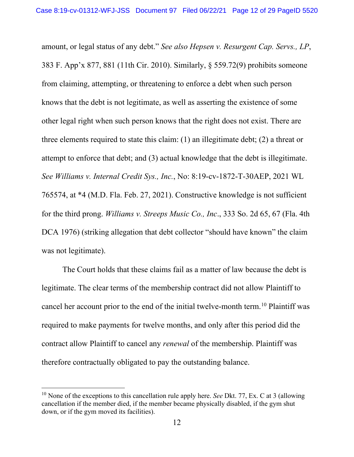amount, or legal status of any debt." *See also Hepsen v. Resurgent Cap. Servs., LP*, 383 F. App'x 877, 881 (11th Cir. 2010). Similarly, § 559.72(9) prohibits someone from claiming, attempting, or threatening to enforce a debt when such person knows that the debt is not legitimate, as well as asserting the existence of some other legal right when such person knows that the right does not exist. There are three elements required to state this claim: (1) an illegitimate debt; (2) a threat or attempt to enforce that debt; and (3) actual knowledge that the debt is illegitimate. *See Williams v. Internal Credit Sys., Inc.*, No: 8:19-cv-1872-T-30AEP, 2021 WL 765574, at \*4 (M.D. Fla. Feb. 27, 2021). Constructive knowledge is not sufficient for the third prong. *Williams v. Streeps Music Co., Inc*., 333 So. 2d 65, 67 (Fla. 4th DCA 1976) (striking allegation that debt collector "should have known" the claim was not legitimate).

The Court holds that these claims fail as a matter of law because the debt is legitimate. The clear terms of the membership contract did not allow Plaintiff to cancel her account prior to the end of the initial twelve-month term.[10](#page-14-0) Plaintiff was required to make payments for twelve months, and only after this period did the contract allow Plaintiff to cancel any *renewal* of the membership. Plaintiff was therefore contractually obligated to pay the outstanding balance.

<sup>10</sup> None of the exceptions to this cancellation rule apply here. *See* Dkt. 77, Ex. C at 3 (allowing cancellation if the member died, if the member became physically disabled, if the gym shut down, or if the gym moved its facilities).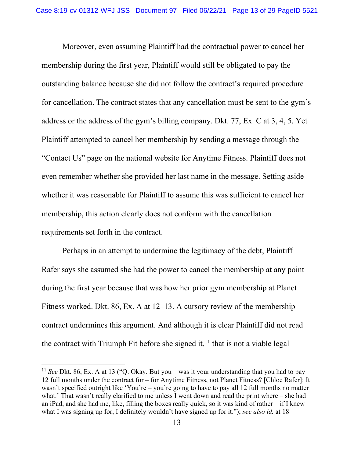Moreover, even assuming Plaintiff had the contractual power to cancel her membership during the first year, Plaintiff would still be obligated to pay the outstanding balance because she did not follow the contract's required procedure for cancellation. The contract states that any cancellation must be sent to the gym's address or the address of the gym's billing company. Dkt. 77, Ex. C at 3, 4, 5. Yet Plaintiff attempted to cancel her membership by sending a message through the "Contact Us" page on the national website for Anytime Fitness. Plaintiff does not even remember whether she provided her last name in the message. Setting aside whether it was reasonable for Plaintiff to assume this was sufficient to cancel her membership, this action clearly does not conform with the cancellation requirements set forth in the contract.

Perhaps in an attempt to undermine the legitimacy of the debt, Plaintiff Rafer says she assumed she had the power to cancel the membership at any point during the first year because that was how her prior gym membership at Planet Fitness worked. Dkt. 86, Ex. A at 12–13. A cursory review of the membership contract undermines this argument. And although it is clear Plaintiff did not read the contract with Triumph Fit before she signed it,  $11$  that is not a viable legal

<sup>11</sup> *See* Dkt. 86, Ex. A at 13 ("Q. Okay. But you – was it your understanding that you had to pay 12 full months under the contract for – for Anytime Fitness, not Planet Fitness? [Chloe Rafer]: It wasn't specified outright like 'You're – you're going to have to pay all 12 full months no matter what.' That wasn't really clarified to me unless I went down and read the print where – she had an iPad, and she had me, like, filling the boxes really quick, so it was kind of rather – if I knew what I was signing up for, I definitely wouldn't have signed up for it."); *see also id.* at 18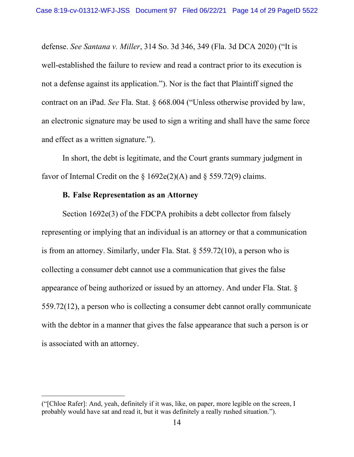defense. *See Santana v. Miller*, 314 So. 3d 346, 349 (Fla. 3d DCA 2020) ("It is well-established the failure to review and read a contract prior to its execution is not a defense against its application."). Nor is the fact that Plaintiff signed the contract on an iPad. *See* Fla. Stat. § 668.004 ("Unless otherwise provided by law, an electronic signature may be used to sign a writing and shall have the same force and effect as a written signature.").

In short, the debt is legitimate, and the Court grants summary judgment in favor of Internal Credit on the  $\S 1692e(2)$ (A) and  $\S 559.72(9)$  claims.

#### **B. False Representation as an Attorney**

Section 1692e(3) of the FDCPA prohibits a debt collector from falsely representing or implying that an individual is an attorney or that a communication is from an attorney. Similarly, under Fla. Stat.  $\S$  559.72(10), a person who is collecting a consumer debt cannot use a communication that gives the false appearance of being authorized or issued by an attorney. And under Fla. Stat. § 559.72(12), a person who is collecting a consumer debt cannot orally communicate with the debtor in a manner that gives the false appearance that such a person is or is associated with an attorney.

<span id="page-13-0"></span><sup>(&</sup>quot;[Chloe Rafer]: And, yeah, definitely if it was, like, on paper, more legible on the screen, I probably would have sat and read it, but it was definitely a really rushed situation.").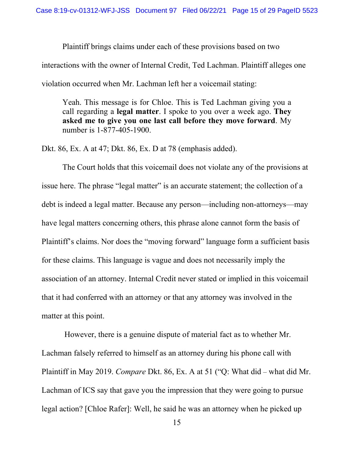Plaintiff brings claims under each of these provisions based on two interactions with the owner of Internal Credit, Ted Lachman. Plaintiff alleges one violation occurred when Mr. Lachman left her a voicemail stating:

Yeah. This message is for Chloe. This is Ted Lachman giving you a call regarding a **legal matter**. I spoke to you over a week ago. **They asked me to give you one last call before they move forward**. My number is 1-877-405-1900.

Dkt. 86, Ex. A at 47; Dkt. 86, Ex. D at 78 (emphasis added).

The Court holds that this voicemail does not violate any of the provisions at issue here. The phrase "legal matter" is an accurate statement; the collection of a debt is indeed a legal matter. Because any person—including non-attorneys—may have legal matters concerning others, this phrase alone cannot form the basis of Plaintiff's claims. Nor does the "moving forward" language form a sufficient basis for these claims. This language is vague and does not necessarily imply the association of an attorney. Internal Credit never stated or implied in this voicemail that it had conferred with an attorney or that any attorney was involved in the matter at this point.

<span id="page-14-0"></span>However, there is a genuine dispute of material fact as to whether Mr. Lachman falsely referred to himself as an attorney during his phone call with Plaintiff in May 2019. *Compare* Dkt. 86, Ex. A at 51 ("Q: What did – what did Mr. Lachman of ICS say that gave you the impression that they were going to pursue legal action? [Chloe Rafer]: Well, he said he was an attorney when he picked up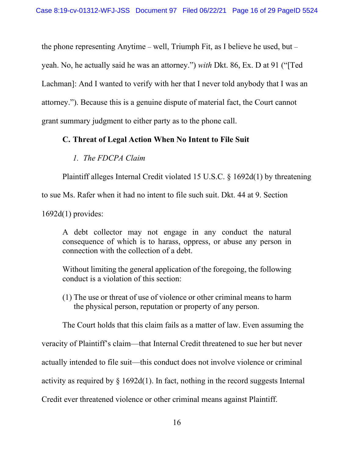the phone representing Anytime – well, Triumph Fit, as I believe he used, but – yeah. No, he actually said he was an attorney.") *with* Dkt. 86, Ex. D at 91 ("[Ted Lachman]: And I wanted to verify with her that I never told anybody that I was an attorney."). Because this is a genuine dispute of material fact, the Court cannot grant summary judgment to either party as to the phone call.

### **C. Threat of Legal Action When No Intent to File Suit**

### *1. The FDCPA Claim*

Plaintiff alleges Internal Credit violated 15 U.S.C. § 1692d(1) by threatening

to sue Ms. Rafer when it had no intent to file such suit. Dkt. 44 at 9. Section

1692d(1) provides:

A debt collector may not engage in any conduct the natural consequence of which is to harass, oppress, or abuse any person in connection with the collection of a debt.

Without limiting the general application of the foregoing, the following conduct is a violation of this section:

(1) The use or threat of use of violence or other criminal means to harm the physical person, reputation or property of any person.

The Court holds that this claim fails as a matter of law. Even assuming the

veracity of Plaintiff's claim—that Internal Credit threatened to sue her but never

<span id="page-15-0"></span>actually intended to file suit—this conduct does not involve violence or criminal

activity as required by  $\S$  1692d(1). In fact, nothing in the record suggests Internal

Credit ever threatened violence or other criminal means against Plaintiff.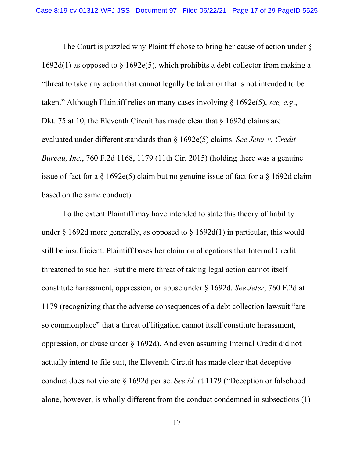The Court is puzzled why Plaintiff chose to bring her cause of action under §  $1692d(1)$  as opposed to  $\frac{1692e(5)}{20}$ , which prohibits a debt collector from making a "threat to take any action that cannot legally be taken or that is not intended to be taken." Although Plaintiff relies on many cases involving § 1692e(5), *see, e.g*., Dkt. 75 at 10, the Eleventh Circuit has made clear that § 1692d claims are evaluated under different standards than § 1692e(5) claims. *See Jeter v. Credit Bureau, Inc.*, 760 F.2d 1168, 1179 (11th Cir. 2015) (holding there was a genuine issue of fact for a § 1692e(5) claim but no genuine issue of fact for a § 1692d claim based on the same conduct).

To the extent Plaintiff may have intended to state this theory of liability under  $\S$  1692d more generally, as opposed to  $\S$  1692d(1) in particular, this would still be insufficient. Plaintiff bases her claim on allegations that Internal Credit threatened to sue her. But the mere threat of taking legal action cannot itself constitute harassment, oppression, or abuse under § 1692d. *See Jeter*, 760 F.2d at 1179 (recognizing that the adverse consequences of a debt collection lawsuit "are so commonplace" that a threat of litigation cannot itself constitute harassment, oppression, or abuse under § 1692d). And even assuming Internal Credit did not actually intend to file suit, the Eleventh Circuit has made clear that deceptive conduct does not violate § 1692d per se. *See id.* at 1179 ("Deception or falsehood alone, however, is wholly different from the conduct condemned in subsections (1)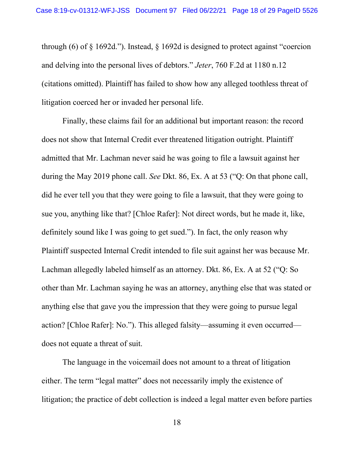through (6) of § 1692d."). Instead, § 1692d is designed to protect against "coercion and delving into the personal lives of debtors." *Jeter*, 760 F.2d at 1180 n.12 (citations omitted). Plaintiff has failed to show how any alleged toothless threat of litigation coerced her or invaded her personal life.

Finally, these claims fail for an additional but important reason: the record does not show that Internal Credit ever threatened litigation outright. Plaintiff admitted that Mr. Lachman never said he was going to file a lawsuit against her during the May 2019 phone call. *See* Dkt. 86, Ex. A at 53 ("Q: On that phone call, did he ever tell you that they were going to file a lawsuit, that they were going to sue you, anything like that? [Chloe Rafer]: Not direct words, but he made it, like, definitely sound like I was going to get sued."). In fact, the only reason why Plaintiff suspected Internal Credit intended to file suit against her was because Mr. Lachman allegedly labeled himself as an attorney. Dkt. 86, Ex. A at 52 ("Q: So other than Mr. Lachman saying he was an attorney, anything else that was stated or anything else that gave you the impression that they were going to pursue legal action? [Chloe Rafer]: No."). This alleged falsity—assuming it even occurred does not equate a threat of suit.

The language in the voicemail does not amount to a threat of litigation either. The term "legal matter" does not necessarily imply the existence of litigation; the practice of debt collection is indeed a legal matter even before parties

18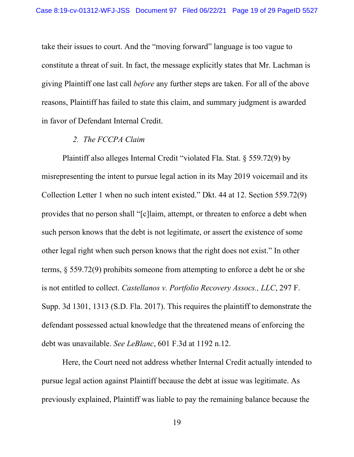take their issues to court. And the "moving forward" language is too vague to constitute a threat of suit. In fact, the message explicitly states that Mr. Lachman is giving Plaintiff one last call *before* any further steps are taken. For all of the above reasons, Plaintiff has failed to state this claim, and summary judgment is awarded in favor of Defendant Internal Credit.

#### *2. The FCCPA Claim*

Plaintiff also alleges Internal Credit "violated Fla. Stat. § 559.72(9) by misrepresenting the intent to pursue legal action in its May 2019 voicemail and its Collection Letter 1 when no such intent existed." Dkt. 44 at 12. Section 559.72(9) provides that no person shall "[c]laim, attempt, or threaten to enforce a debt when such person knows that the debt is not legitimate, or assert the existence of some other legal right when such person knows that the right does not exist." In other terms, § 559.72(9) prohibits someone from attempting to enforce a debt he or she is not entitled to collect. *Castellanos v. Portfolio Recovery Assocs., LLC*, 297 F. Supp. 3d 1301, 1313 (S.D. Fla. 2017). This requires the plaintiff to demonstrate the defendant possessed actual knowledge that the threatened means of enforcing the debt was unavailable. *See LeBlanc*, 601 F.3d at 1192 n.12.

Here, the Court need not address whether Internal Credit actually intended to pursue legal action against Plaintiff because the debt at issue was legitimate. As previously explained, Plaintiff was liable to pay the remaining balance because the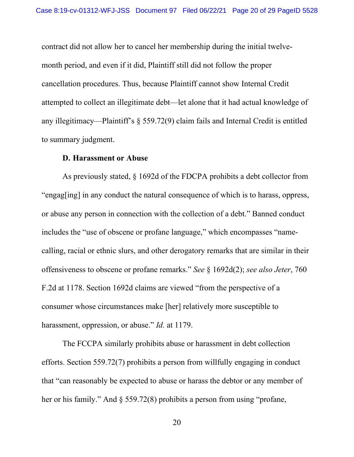contract did not allow her to cancel her membership during the initial twelvemonth period, and even if it did, Plaintiff still did not follow the proper cancellation procedures. Thus, because Plaintiff cannot show Internal Credit attempted to collect an illegitimate debt—let alone that it had actual knowledge of any illegitimacy—Plaintiff's § 559.72(9) claim fails and Internal Credit is entitled to summary judgment.

### **D. Harassment or Abuse**

As previously stated, § 1692d of the FDCPA prohibits a debt collector from "engag[ing] in any conduct the natural consequence of which is to harass, oppress, or abuse any person in connection with the collection of a debt." Banned conduct includes the "use of obscene or profane language," which encompasses "namecalling, racial or ethnic slurs, and other derogatory remarks that are similar in their offensiveness to obscene or profane remarks." *See* § 1692d(2); *see also Jeter*, 760 F.2d at 1178. Section 1692d claims are viewed "from the perspective of a consumer whose circumstances make [her] relatively more susceptible to harassment, oppression, or abuse." *Id.* at 1179.

The FCCPA similarly prohibits abuse or harassment in debt collection efforts. Section 559.72(7) prohibits a person from willfully engaging in conduct that "can reasonably be expected to abuse or harass the debtor or any member of her or his family." And § 559.72(8) prohibits a person from using "profane,

20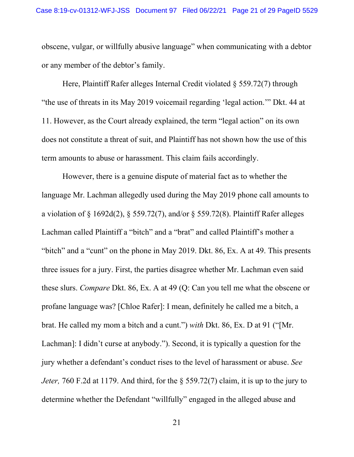obscene, vulgar, or willfully abusive language" when communicating with a debtor or any member of the debtor's family.

Here, Plaintiff Rafer alleges Internal Credit violated § 559.72(7) through "the use of threats in its May 2019 voicemail regarding 'legal action.'" Dkt. 44 at 11. However, as the Court already explained, the term "legal action" on its own does not constitute a threat of suit, and Plaintiff has not shown how the use of this term amounts to abuse or harassment. This claim fails accordingly.

However, there is a genuine dispute of material fact as to whether the language Mr. Lachman allegedly used during the May 2019 phone call amounts to a violation of § 1692d(2), § 559.72(7), and/or § 559.72(8). Plaintiff Rafer alleges Lachman called Plaintiff a "bitch" and a "brat" and called Plaintiff's mother a "bitch" and a "cunt" on the phone in May 2019. Dkt. 86, Ex. A at 49. This presents three issues for a jury. First, the parties disagree whether Mr. Lachman even said these slurs. *Compare* Dkt. 86, Ex. A at 49 (Q: Can you tell me what the obscene or profane language was? [Chloe Rafer]: I mean, definitely he called me a bitch, a brat. He called my mom a bitch and a cunt.") *with* Dkt. 86, Ex. D at 91 ("[Mr. Lachman]: I didn't curse at anybody."). Second, it is typically a question for the jury whether a defendant's conduct rises to the level of harassment or abuse. *See Jeter, 760 F.2d at 1179. And third, for the*  $\frac{6}{559.72(7)}$  *claim, it is up to the jury to* determine whether the Defendant "willfully" engaged in the alleged abuse and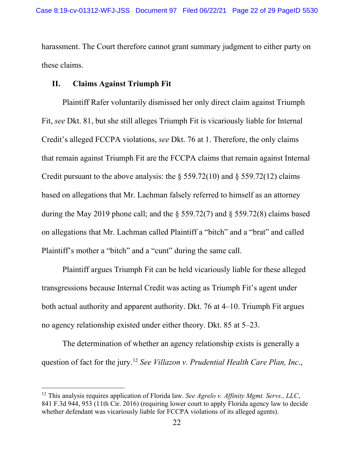harassment. The Court therefore cannot grant summary judgment to either party on these claims.

# **II. Claims Against Triumph Fit**

Plaintiff Rafer voluntarily dismissed her only direct claim against Triumph Fit, *see* Dkt. 81, but she still alleges Triumph Fit is vicariously liable for Internal Credit's alleged FCCPA violations, *see* Dkt. 76 at 1. Therefore, the only claims that remain against Triumph Fit are the FCCPA claims that remain against Internal Credit pursuant to the above analysis: the  $\S 559.72(10)$  and  $\S 559.72(12)$  claims based on allegations that Mr. Lachman falsely referred to himself as an attorney during the May 2019 phone call; and the § 559.72(7) and § 559.72(8) claims based on allegations that Mr. Lachman called Plaintiff a "bitch" and a "brat" and called Plaintiff's mother a "bitch" and a "cunt" during the same call.

Plaintiff argues Triumph Fit can be held vicariously liable for these alleged transgressions because Internal Credit was acting as Triumph Fit's agent under both actual authority and apparent authority. Dkt. 76 at 4–10. Triumph Fit argues no agency relationship existed under either theory. Dkt. 85 at 5–23.

The determination of whether an agency relationship exists is generally a question of fact for the jury. [12](#page-24-0) *See Villazon v. Prudential Health Care Plan, Inc*.,

<sup>12</sup> This analysis requires application of Florida law. *See Agrelo v. Affinity Mgmt. Servs., LLC*, 841 F.3d 944, 953 (11th Cir. 2016) (requiring lower court to apply Florida agency law to decide whether defendant was vicariously liable for FCCPA violations of its alleged agents).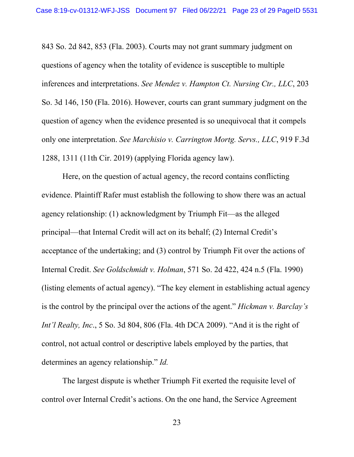843 So. 2d 842, 853 (Fla. 2003). Courts may not grant summary judgment on questions of agency when the totality of evidence is susceptible to multiple inferences and interpretations. *See Mendez v. Hampton Ct. Nursing Ctr., LLC*, 203 So. 3d 146, 150 (Fla. 2016). However, courts can grant summary judgment on the question of agency when the evidence presented is so unequivocal that it compels only one interpretation. *See Marchisio v. Carrington Mortg. Servs., LLC*, 919 F.3d 1288, 1311 (11th Cir. 2019) (applying Florida agency law).

Here, on the question of actual agency, the record contains conflicting evidence. Plaintiff Rafer must establish the following to show there was an actual agency relationship: (1) acknowledgment by Triumph Fit—as the alleged principal—that Internal Credit will act on its behalf; (2) Internal Credit's acceptance of the undertaking; and (3) control by Triumph Fit over the actions of Internal Credit. *See Goldschmidt v. Holman*, 571 So. 2d 422, 424 n.5 (Fla. 1990) (listing elements of actual agency). "The key element in establishing actual agency is the control by the principal over the actions of the agent." *Hickman v. Barclay's Int'l Realty, Inc*., 5 So. 3d 804, 806 (Fla. 4th DCA 2009). "And it is the right of control, not actual control or descriptive labels employed by the parties, that determines an agency relationship." *Id.*

The largest dispute is whether Triumph Fit exerted the requisite level of control over Internal Credit's actions. On the one hand, the Service Agreement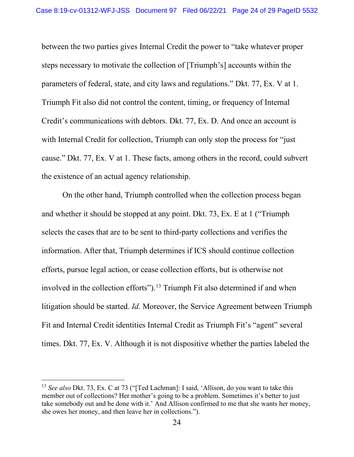between the two parties gives Internal Credit the power to "take whatever proper steps necessary to motivate the collection of [Triumph's] accounts within the parameters of federal, state, and city laws and regulations." Dkt. 77, Ex. V at 1. Triumph Fit also did not control the content, timing, or frequency of Internal Credit's communications with debtors. Dkt. 77, Ex. D. And once an account is with Internal Credit for collection, Triumph can only stop the process for "just" cause." Dkt. 77, Ex. V at 1. These facts, among others in the record, could subvert the existence of an actual agency relationship.

On the other hand, Triumph controlled when the collection process began and whether it should be stopped at any point. Dkt. 73, Ex. E at 1 ("Triumph selects the cases that are to be sent to third-party collections and verifies the information. After that, Triumph determines if ICS should continue collection efforts, pursue legal action, or cease collection efforts, but is otherwise not involved in the collection efforts").<sup>[13](#page-26-0)</sup> Triumph Fit also determined if and when litigation should be started. *Id.* Moreover, the Service Agreement between Triumph Fit and Internal Credit identities Internal Credit as Triumph Fit's "agent" several times. Dkt. 77, Ex. V. Although it is not dispositive whether the parties labeled the

<sup>&</sup>lt;sup>13</sup> *See also* Dkt. 73, Ex. C at 73 ("[Ted Lachman]: I said, 'Allison, do you want to take this member out of collections? Her mother's going to be a problem. Sometimes it's better to just take somebody out and be done with it.' And Allison confirmed to me that she wants her money, she owes her money, and then leave her in collections.").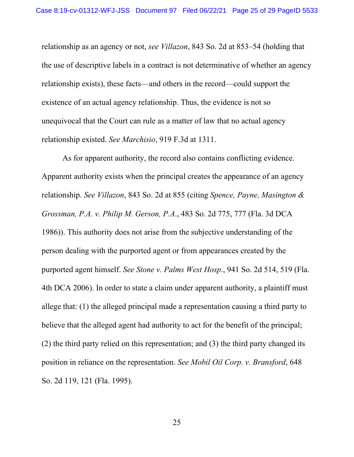relationship as an agency or not, *see Villazon*, 843 So. 2d at 853–54 (holding that the use of descriptive labels in a contract is not determinative of whether an agency relationship exists), these facts—and others in the record—could support the existence of an actual agency relationship. Thus, the evidence is not so unequivocal that the Court can rule as a matter of law that no actual agency relationship existed. *See Marchisio*, 919 F.3d at 1311.

<span id="page-24-0"></span>As for apparent authority, the record also contains conflicting evidence. Apparent authority exists when the principal creates the appearance of an agency relationship. *See Villazon*, 843 So. 2d at 855 (citing *Spence, Payne, Masington & Grossman, P.A. v. Philip M. Gerson, P.A*., 483 So. 2d 775, 777 (Fla. 3d DCA 1986)). This authority does not arise from the subjective understanding of the person dealing with the purported agent or from appearances created by the purported agent himself. *See Stone v. Palms West Hosp*., 941 So. 2d 514, 519 (Fla. 4th DCA 2006). In order to state a claim under apparent authority, a plaintiff must allege that: (1) the alleged principal made a representation causing a third party to believe that the alleged agent had authority to act for the benefit of the principal; (2) the third party relied on this representation; and (3) the third party changed its position in reliance on the representation. *See Mobil Oil Corp. v. Bransford*, 648 So. 2d 119, 121 (Fla. 1995).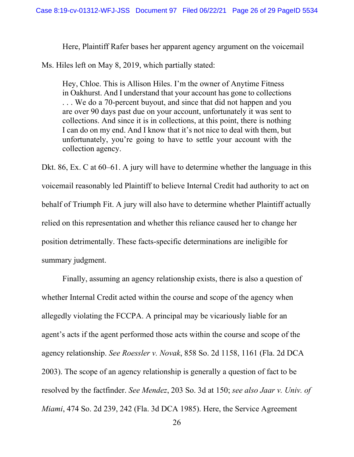Here, Plaintiff Rafer bases her apparent agency argument on the voicemail

Ms. Hiles left on May 8, 2019, which partially stated:

Hey, Chloe. This is Allison Hiles. I'm the owner of Anytime Fitness in Oakhurst. And I understand that your account has gone to collections . . . We do a 70-percent buyout, and since that did not happen and you are over 90 days past due on your account, unfortunately it was sent to collections. And since it is in collections, at this point, there is nothing I can do on my end. And I know that it's not nice to deal with them, but unfortunately, you're going to have to settle your account with the collection agency.

Dkt. 86, Ex. C at 60–61. A jury will have to determine whether the language in this voicemail reasonably led Plaintiff to believe Internal Credit had authority to act on behalf of Triumph Fit. A jury will also have to determine whether Plaintiff actually relied on this representation and whether this reliance caused her to change her position detrimentally. These facts-specific determinations are ineligible for summary judgment.

Finally, assuming an agency relationship exists, there is also a question of whether Internal Credit acted within the course and scope of the agency when allegedly violating the FCCPA. A principal may be vicariously liable for an agent's acts if the agent performed those acts within the course and scope of the agency relationship. *See Roessler v. Novak*, 858 So. 2d 1158, 1161 (Fla. 2d DCA 2003). The scope of an agency relationship is generally a question of fact to be resolved by the factfinder. *See Mendez*, 203 So. 3d at 150; *see also Jaar v. Univ. of Miami*, 474 So. 2d 239, 242 (Fla. 3d DCA 1985). Here, the Service Agreement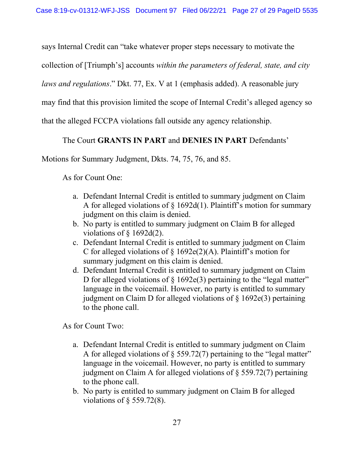says Internal Credit can "take whatever proper steps necessary to motivate the

collection of [Triumph's] accounts *within the parameters of federal, state, and city* 

*laws and regulations*." Dkt. 77, Ex. V at 1 (emphasis added). A reasonable jury

may find that this provision limited the scope of Internal Credit's alleged agency so

that the alleged FCCPA violations fall outside any agency relationship.

## The Court **GRANTS IN PART** and **DENIES IN PART** Defendants'

Motions for Summary Judgment, Dkts. 74, 75, 76, and 85.

As for Count One:

- a. Defendant Internal Credit is entitled to summary judgment on Claim A for alleged violations of  $\S$  1692d(1). Plaintiff's motion for summary judgment on this claim is denied.
- b. No party is entitled to summary judgment on Claim B for alleged violations of  $\S$  1692d(2).
- c. Defendant Internal Credit is entitled to summary judgment on Claim C for alleged violations of  $\S$  1692e(2)(A). Plaintiff's motion for summary judgment on this claim is denied.
- d. Defendant Internal Credit is entitled to summary judgment on Claim D for alleged violations of  $\S$  1692e(3) pertaining to the "legal matter" language in the voicemail. However, no party is entitled to summary judgment on Claim D for alleged violations of § 1692e(3) pertaining to the phone call.

As for Count Two:

- a. Defendant Internal Credit is entitled to summary judgment on Claim A for alleged violations of  $\S$  559.72(7) pertaining to the "legal matter" language in the voicemail. However, no party is entitled to summary judgment on Claim A for alleged violations of § 559.72(7) pertaining to the phone call.
- <span id="page-26-0"></span>b. No party is entitled to summary judgment on Claim B for alleged violations of § 559.72(8).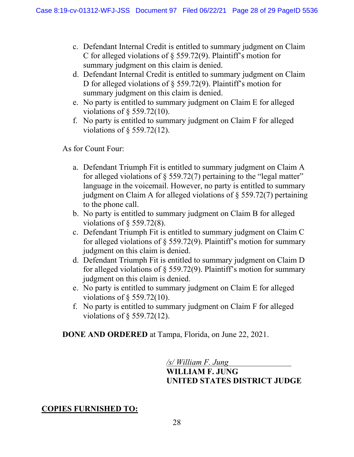- c. Defendant Internal Credit is entitled to summary judgment on Claim C for alleged violations of § 559.72(9). Plaintiff's motion for summary judgment on this claim is denied.
- d. Defendant Internal Credit is entitled to summary judgment on Claim D for alleged violations of § 559.72(9). Plaintiff's motion for summary judgment on this claim is denied.
- e. No party is entitled to summary judgment on Claim E for alleged violations of § 559.72(10).
- f. No party is entitled to summary judgment on Claim F for alleged violations of § 559.72(12).

As for Count Four:

- a. Defendant Triumph Fit is entitled to summary judgment on Claim A for alleged violations of § 559.72(7) pertaining to the "legal matter" language in the voicemail. However, no party is entitled to summary judgment on Claim A for alleged violations of § 559.72(7) pertaining to the phone call.
- b. No party is entitled to summary judgment on Claim B for alleged violations of § 559.72(8).
- c. Defendant Triumph Fit is entitled to summary judgment on Claim C for alleged violations of § 559.72(9). Plaintiff's motion for summary judgment on this claim is denied.
- d. Defendant Triumph Fit is entitled to summary judgment on Claim D for alleged violations of § 559.72(9). Plaintiff's motion for summary judgment on this claim is denied.
- e. No party is entitled to summary judgment on Claim E for alleged violations of  $\S$  559.72(10).
- f. No party is entitled to summary judgment on Claim F for alleged violations of § 559.72(12).

**DONE AND ORDERED** at Tampa, Florida, on June 22, 2021.

*/s/ William F. Jung*  **WILLIAM F. JUNG UNITED STATES DISTRICT JUDGE**

# **COPIES FURNISHED TO:**